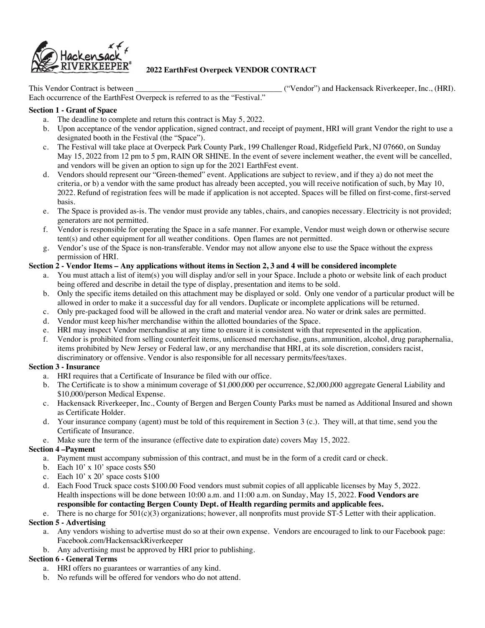

# **2022 EarthFest Overpeck VENDOR CONTRACT**

This Vendor Contract is between  $($ "Vendor") and Hackensack Riverkeeper, Inc., (HRI).

Each occurrence of the EarthFest Overpeck is referred to as the "Festival."

#### **Section 1 - Grant of Space**

- a. The deadline to complete and return this contract is May 5, 2022.
- b. Upon acceptance of the vendor application, signed contract, and receipt of payment, HRI will grant Vendor the right to use a designated booth in the Festival (the "Space").
- c. The Festival will take place at Overpeck Park County Park, 199 Challenger Road, Ridgefield Park, NJ 07660, on Sunday May 15, 2022 from 12 pm to 5 pm, RAIN OR SHINE. In the event of severe inclement weather, the event will be cancelled, and vendors will be given an option to sign up for the 2021 EarthFest event.
- d. Vendors should represent our "Green-themed" event. Applications are subject to review, and if they a) do not meet the criteria, or b) a vendor with the same product has already been accepted, you will receive notification of such, by May 10, 2022. Refund of registration fees will be made if application is not accepted. Spaces will be filled on first-come, first-served basis.
- e. The Space is provided as-is. The vendor must provide any tables, chairs, and canopies necessary. Electricity is not provided; generators are not permitted.
- f. Vendor is responsible for operating the Space in a safe manner. For example, Vendor must weigh down or otherwise secure tent(s) and other equipment for all weather conditions. Open flames are not permitted.
- g. Vendor's use of the Space is non-transferable. Vendor may not allow anyone else to use the Space without the express permission of HRI.

## **Section 2 - Vendor Items – Any applications without items in Section 2, 3 and 4 will be considered incomplete**

- a. You must attach a list of item(s) you will display and/or sell in your Space. Include a photo or website link of each product being offered and describe in detail the type of display, presentation and items to be sold.
- b. Only the specific items detailed on this attachment may be displayed or sold. Only one vendor of a particular product will be allowed in order to make it a successful day for all vendors. Duplicate or incomplete applications will be returned.
- c. Only pre-packaged food will be allowed in the craft and material vendor area. No water or drink sales are permitted.
- d. Vendor must keep his/her merchandise within the allotted boundaries of the Space.
- e. HRI may inspect Vendor merchandise at any time to ensure it is consistent with that represented in the application.
- f. Vendor is prohibited from selling counterfeit items, unlicensed merchandise, guns, ammunition, alcohol, drug paraphernalia, items prohibited by New Jersey or Federal law, or any merchandise that HRI, at its sole discretion, considers racist, discriminatory or offensive. Vendor is also responsible for all necessary permits/fees/taxes.

### **Section 3 - Insurance**

- a. HRI requires that a Certificate of Insurance be filed with our office.
- b. The Certificate is to show a minimum coverage of \$1,000,000 per occurrence, \$2,000,000 aggregate General Liability and \$10,000/person Medical Expense.
- c. Hackensack Riverkeeper, Inc., County of Bergen and Bergen County Parks must be named as Additional Insured and shown as Certificate Holder.
- d. Your insurance company (agent) must be told of this requirement in Section 3 (c.). They will, at that time, send you the Certificate of Insurance.
- e. Make sure the term of the insurance (effective date to expiration date) covers May 15, 2022.

# **Section 4 –Payment**

- a. Payment must accompany submission of this contract, and must be in the form of a credit card or check.
- b. Each 10' x 10' space costs \$50
- c. Each 10' x 20' space costs \$100
- d. Each Food Truck space costs \$100.00 Food vendors must submit copies of all applicable licenses by May 5, 2022. Health inspections will be done between 10:00 a.m. and 11:00 a.m. on Sunday, May 15, 2022. **Food Vendors are responsible for contacting Bergen County Dept. of Health regarding permits and applicable fees.**

### e. There is no charge for  $501(c)(3)$  organizations; however, all nonprofits must provide ST-5 Letter with their application.

### **Section 5 - Advertising**

- a. Any vendors wishing to advertise must do so at their own expense. Vendors are encouraged to link to our Facebook page: Facebook.com/HackensackRiverkeeper
- b. Any advertising must be approved by HRI prior to publishing.

# **Section 6 - General Terms**

- a. HRI offers no guarantees or warranties of any kind.
- b. No refunds will be offered for vendors who do not attend.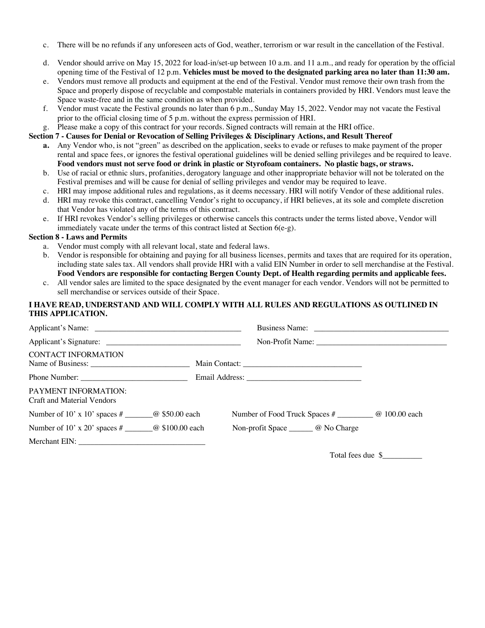- c. There will be no refunds if any unforeseen acts of God, weather, terrorism or war result in the cancellation of the Festival.
- d. Vendor should arrive on May 15, 2022 for load-in/set-up between 10 a.m. and 11 a.m., and ready for operation by the official opening time of the Festival of 12 p.m. **Vehicles must be moved to the designated parking area no later than 11:30 am.**
- e. Vendors must remove all products and equipment at the end of the Festival. Vendor must remove their own trash from the Space and properly dispose of recyclable and compostable materials in containers provided by HRI. Vendors must leave the Space waste-free and in the same condition as when provided.
- f. Vendor must vacate the Festival grounds no later than 6 p.m., Sunday May 15, 2022. Vendor may not vacate the Festival prior to the official closing time of 5 p.m. without the express permission of HRI.
- g. Please make a copy of this contract for your records. Signed contracts will remain at the HRI office.

### **Section 7 - Causes for Denial or Revocation of Selling Privileges & Disciplinary Actions, and Result Thereof**

- **a.** Any Vendor who, is not "green" as described on the application, seeks to evade or refuses to make payment of the proper rental and space fees, or ignores the festival operational guidelines will be denied selling privileges and be required to leave. **Food vendors must not serve food or drink in plastic or Styrofoam containers. No plastic bags, or straws.**
- b. Use of racial or ethnic slurs, profanities, derogatory language and other inappropriate behavior will not be tolerated on the Festival premises and will be cause for denial of selling privileges and vendor may be required to leave.
- c. HRI may impose additional rules and regulations, as it deems necessary. HRI will notify Vendor of these additional rules.
- d. HRI may revoke this contract, cancelling Vendor's right to occupancy, if HRI believes, at its sole and complete discretion that Vendor has violated any of the terms of this contract.
- e. If HRI revokes Vendor's selling privileges or otherwise cancels this contracts under the terms listed above, Vendor will immediately vacate under the terms of this contract listed at Section  $6(e-g)$ .

## **Section 8 - Laws and Permits**

- a. Vendor must comply with all relevant local, state and federal laws.
- b. Vendor is responsible for obtaining and paying for all business licenses, permits and taxes that are required for its operation, including state sales tax. All vendors shall provide HRI with a valid EIN Number in order to sell merchandise at the Festival. **Food Vendors are responsible for contacting Bergen County Dept. of Health regarding permits and applicable fees.**
- c. All vendor sales are limited to the space designated by the event manager for each vendor. Vendors will not be permitted to sell merchandise or services outside of their Space.

## **I HAVE READ, UNDERSTAND AND WILL COMPLY WITH ALL RULES AND REGULATIONS AS OUTLINED IN THIS APPLICATION.**

| <b>CONTACT INFORMATION</b>                         |                                                              |
|----------------------------------------------------|--------------------------------------------------------------|
|                                                    |                                                              |
| PAYMENT INFORMATION:<br>Craft and Material Vendors |                                                              |
|                                                    | Number of Food Truck Spaces # ________________ @ 100.00 each |
|                                                    | Non-profit Space ________ @ No Charge                        |
|                                                    |                                                              |

Total fees due \$\_\_\_\_\_\_\_\_\_\_